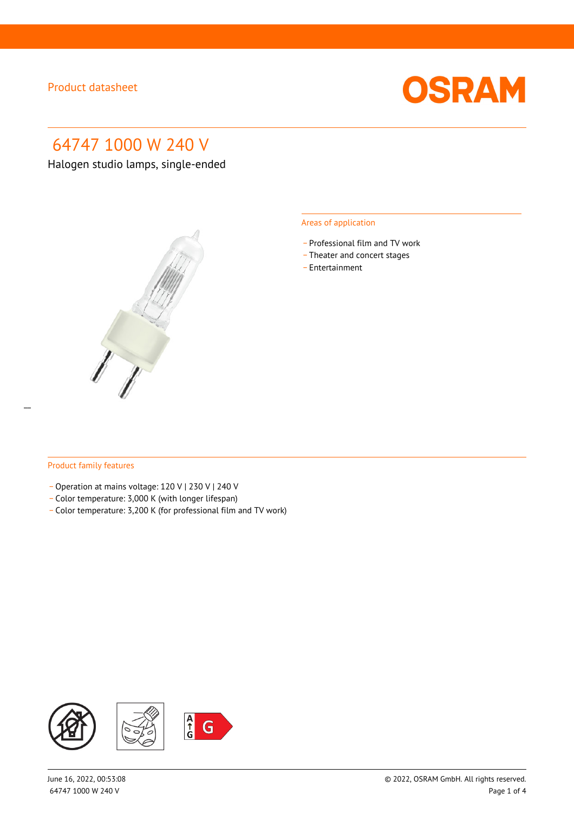

# 64747 1000 W 240 V

Halogen studio lamps, single-ended



#### Areas of application

- \_ Professional film and TV work
- Theater and concert stages
- \_ Entertainment

#### Product family features

- Operation at mains voltage: 120 V | 230 V | 240 V
- \_ Color temperature: 3,000 K (with longer lifespan)
- \_ Color temperature: 3,200 K (for professional film and TV work)

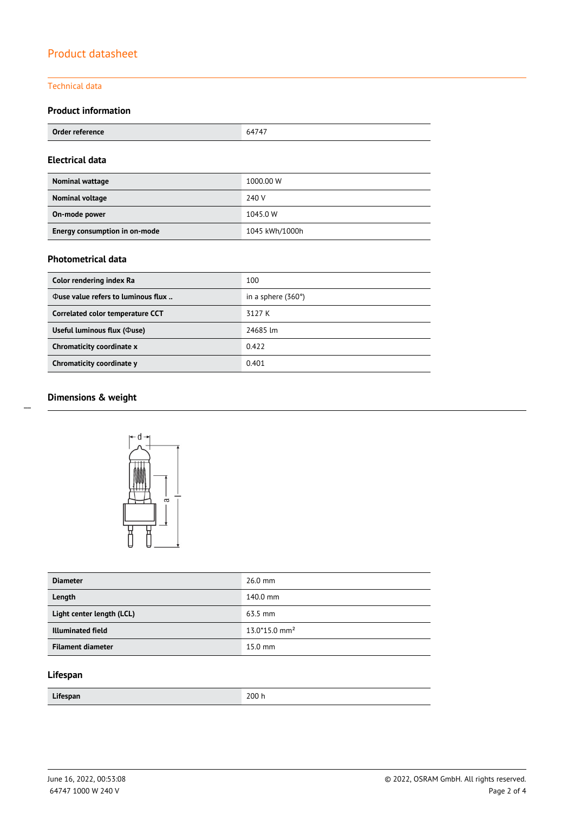## Technical data

## **Product information**

| Order reference          | .<br>, л<br>– <i>n</i> ·<br>∼<br>. |
|--------------------------|------------------------------------|
| $\overline{\phantom{a}}$ |                                    |

## **Electrical data**

| <b>Nominal wattage</b>        | 1000.00 W      |
|-------------------------------|----------------|
| <b>Nominal voltage</b>        | 240 V          |
| On-mode power                 | 1045.0 W       |
| Energy consumption in on-mode | 1045 kWh/1000h |

## **Photometrical data**

| Color rendering index Ra                  | 100                       |
|-------------------------------------------|---------------------------|
| <b>Ouse value refers to luminous flux</b> | in a sphere $(360^\circ)$ |
| Correlated color temperature CCT          | 3127 K                    |
| Useful luminous flux ( $\Phi$ use)        | 24685 lm                  |
| Chromaticity coordinate x                 | 0.422                     |
| Chromaticity coordinate y                 | 0.401                     |

## **Dimensions & weight**





| <b>Diameter</b>           | $26.0$ mm                   |
|---------------------------|-----------------------------|
| Length                    | 140.0 mm                    |
| Light center length (LCL) | $63.5$ mm                   |
| <b>Illuminated field</b>  | $13.0*15.0$ mm <sup>2</sup> |
| <b>Filament diameter</b>  | $15.0$ mm                   |

## **Lifespan**

| Lifespan | 200<br>and the control of the con- |
|----------|------------------------------------|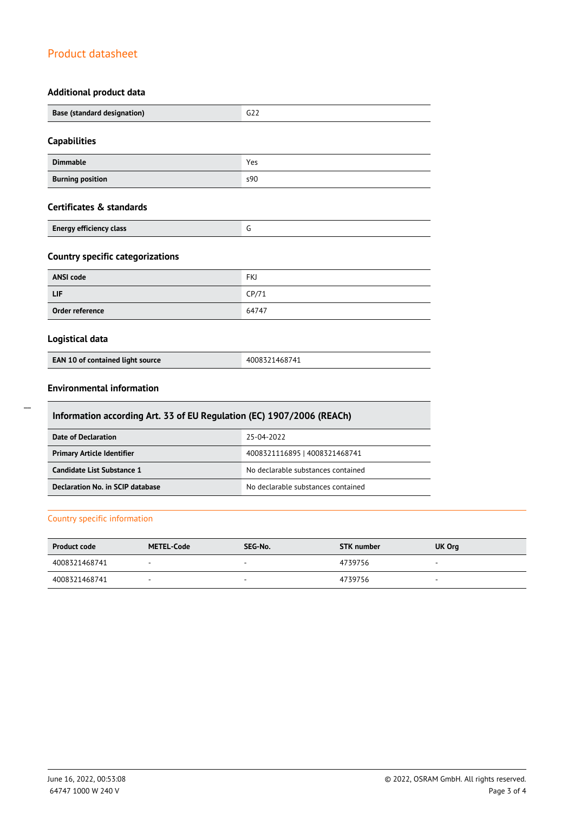## **Additional product data**

| <b>Base (standard designation)</b>      | G22                                                                   |
|-----------------------------------------|-----------------------------------------------------------------------|
| <b>Capabilities</b>                     |                                                                       |
| <b>Dimmable</b>                         | Yes                                                                   |
| <b>Burning position</b>                 | s90                                                                   |
| Certificates & standards                |                                                                       |
| <b>Energy efficiency class</b>          | G                                                                     |
| <b>Country specific categorizations</b> |                                                                       |
| <b>ANSI code</b>                        | <b>FKJ</b>                                                            |
| LIF                                     | CP/71                                                                 |
| Order reference                         | 64747                                                                 |
| Logistical data                         |                                                                       |
| EAN 10 of contained light source        | 4008321468741                                                         |
| <b>Environmental information</b>        |                                                                       |
|                                         | Information according Art. 33 of EU Regulation (EC) 1907/2006 (REACh) |
| <b>Date of Declaration</b>              | 25-04-2022                                                            |
| <b>Primary Article Identifier</b>       | 4008321116895   4008321468741                                         |
| <b>Candidate List Substance 1</b>       | No declarable substances contained                                    |

**Declaration No. in SCIP database** No declarable substances contained

 $\overline{a}$ 

## Country specific information

| <b>Product code</b> | <b>METEL-Code</b>        | SEG-No. | <b>STK</b> number | UK Org |
|---------------------|--------------------------|---------|-------------------|--------|
| 4008321468741       | ٠                        | $\sim$  | 4739756           |        |
| 4008321468741       | $\overline{\phantom{a}}$ | -       | 4739756           |        |